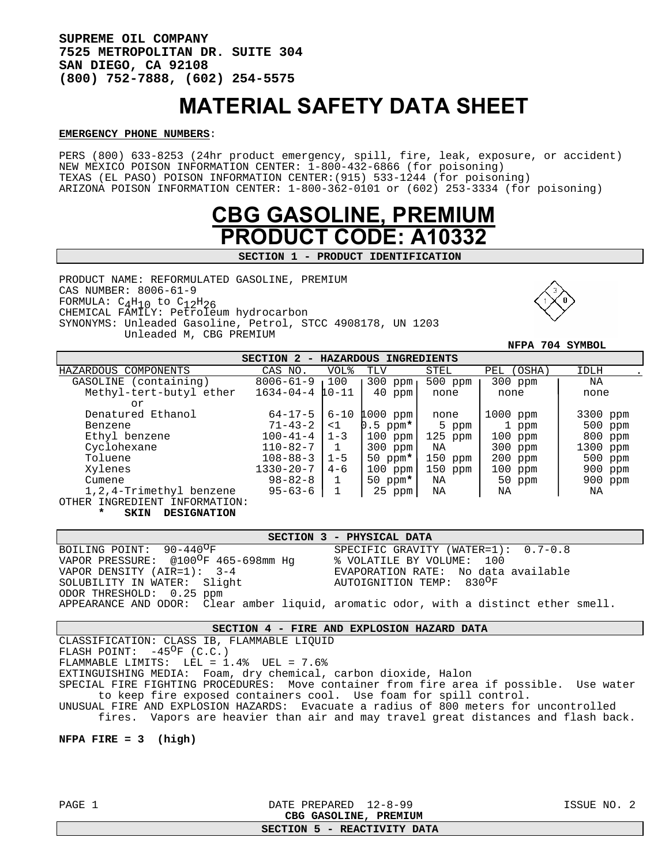**SUPREME OIL COMPANY 7525 METROPOLITAN DR. SUITE 304 SAN DIEGO, CA 92108 (800) 752-7888, (602) 254-5575** 

# MATERIAL SAFETY DATA SHEET

#### **EMERGENCY PHONE NUMBERS**:

PERS (800) 633-8253 (24hr product emergency, spill, fire, leak, exposure, or accident) NEW MEXICO POISON INFORMATION CENTER: 1-800-432-6866 (for poisoning) TEXAS (EL PASO) POISON INFORMATION CENTER:(915) 533-1244 (for poisoning) ARIZONA POISON INFORMATION CENTER: 1-800-362-0101 or (602) 253-3334 (for poisoning)



**SECTION 1 - PRODUCT IDENTIFICATION** 

PRODUCT NAME: REFORMULATED GASOLINE, PREMIUM CAS NUMBER: 8006-61-9 FORMULA:  $C_4H_{10}$  to  $C_{12}H_{26}$ CHEMICAL FAMILY: Petroleum hydrocarbon SYNONYMS: Unleaded Gasoline, Petrol, STCC 4908178, UN 1203 Unleaded M, CBG PREMIUM



 **NFPA 704 SYMBOL**

| SECTION 2<br><b>HAZARDOUS</b><br>INGREDIENTS |                 |                 |            |           |               |           |
|----------------------------------------------|-----------------|-----------------|------------|-----------|---------------|-----------|
| HAZARDOUS COMPONENTS                         | CAS NO.         | <b>VOL&amp;</b> | TLV        | STEL      | (OSHA)<br>PEL | IDLH      |
| (containing)<br>GASOLINE                     | $8006 - 61 - 9$ | ∣ 100           | $300$ ppm  | 500 ppm   | 300 ppm       | ΝA        |
| Methyl-tert-butyl ether                      | $1634 - 04 - 4$ | $10 - 11$       | $40$ ppm   | none      | none          | none      |
| or                                           |                 |                 |            |           |               |           |
| Denatured Ethanol                            | $64 - 17 - 5$   | $6 - 10$        | $1000$ ppm | none      | $1000$ ppm    | 3300 ppm  |
| Benzene                                      | $71 - 43 - 2$   | <1              | $0.5$ ppm* | 5 ppm     | 1 ppm         | 500 ppm   |
| Ethyl benzene                                | $100 - 41 - 4$  | $1 - 3$         | $100$ ppm  | $125$ ppm | $100$ ppm     | 800 ppm   |
| Cyclohexane                                  | $110 - 82 - 7$  |                 | $300$ ppm  | NA        | $300$ ppm     | 1300 ppm  |
| Toluene                                      | $108 - 88 - 3$  | $1 - 5$         | 50 ppm $*$ | $150$ ppm | $200$ ppm     | 500 ppm   |
| Xylenes                                      | $1330 - 20 - 7$ | $4 - 6$         | $100$ ppm  | $150$ ppm | $100$ ppm     | 900 ppm   |
| Cumene                                       | $98 - 82 - 8$   | $\mathbf{1}$    | 50 ppm $*$ | ΝA        | 50 ppm        | $900$ ppm |
| 1,2,4-Trimethyl benzene                      | $95 - 63 - 6$   |                 | $25$ ppm   | ΝA        | NA            | ΝA        |
| INGREDIENT INFORMATION:<br>OTHER             |                 |                 |            |           |               |           |

**SKIN DESIGNATION** 

|                                      | SECTION 3 - PHYSICAL DATA                                                            |
|--------------------------------------|--------------------------------------------------------------------------------------|
| BOILING POINT: 90-440 <sup>O</sup> F | SPECIFIC GRAVITY (WATER= $1$ ): 0.7-0.8                                              |
| VAPOR PRESSURE: @100°F 465-698mm Hq  | % VOLATILE BY VOLUME: 100                                                            |
| VAPOR DENSITY (AIR=1): 3-4           | EVAPORATION RATE: No data available                                                  |
| SOLUBILITY IN WATER: Slight          | AUTOIGNITION TEMP: 830 <sup>O</sup> F                                                |
| ODOR THRESHOLD: 0.25 ppm             |                                                                                      |
|                                      | APPEARANCE AND ODOR: Clear amber liquid, aromatic odor, with a distinct ether smell. |

# **SECTION 4 - FIRE AND EXPLOSION HAZARD DATA**

CLASSIFICATION: CLASS IB, FLAMMABLE LIQUID

FLASH POINT:  $-45^{\circ}$ F (C.C.)

FLAMMABLE LIMITS: LEL =  $1.4$ % UEL =  $7.6$ %

EXTINGUISHING MEDIA: Foam, dry chemical, carbon dioxide, Halon

SPECIAL FIRE FIGHTING PROCEDURES: Move container from fire area if possible. Use water to keep fire exposed containers cool. Use foam for spill control.

UNUSUAL FIRE AND EXPLOSION HAZARDS: Evacuate a radius of 800 meters for uncontrolled fires. Vapors are heavier than air and may travel great distances and flash back.

#### **NFPA FIRE = 3 (high)**

## PAGE 1 DATE PREPARED 12-8-99 ISSUE NO. 2 **CBG GASOLINE, PREMIUM**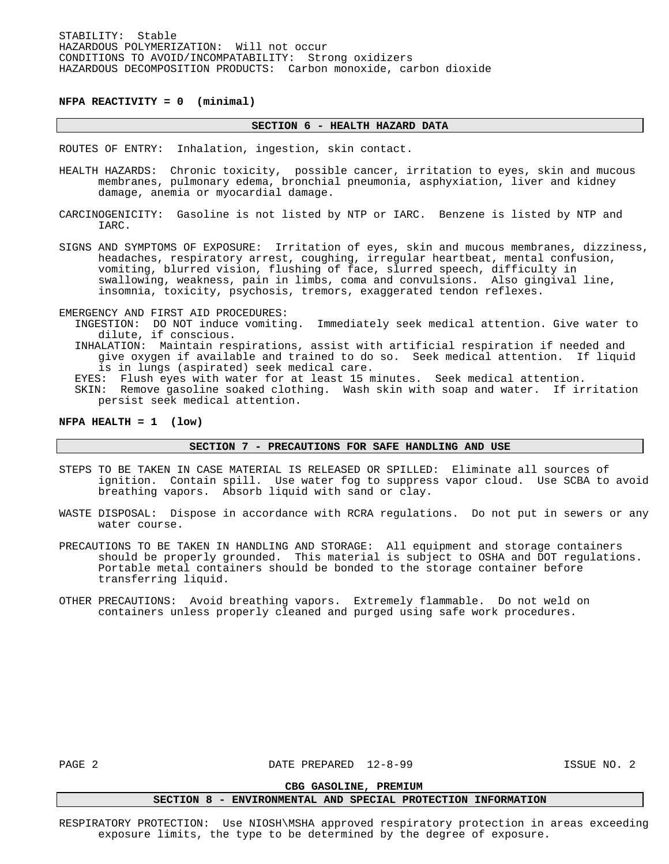**NFPA REACTIVITY = 0 (minimal)** 

#### **SECTION 6 - HEALTH HAZARD DATA**

ROUTES OF ENTRY: Inhalation, ingestion, skin contact.

- HEALTH HAZARDS: Chronic toxicity, possible cancer, irritation to eyes, skin and mucous membranes, pulmonary edema, bronchial pneumonia, asphyxiation, liver and kidney damage, anemia or myocardial damage.
- CARCINOGENICITY: Gasoline is not listed by NTP or IARC. Benzene is listed by NTP and IARC.
- SIGNS AND SYMPTOMS OF EXPOSURE: Irritation of eyes, skin and mucous membranes, dizziness, headaches, respiratory arrest, coughing, irregular heartbeat, mental confusion, vomiting, blurred vision, flushing of face, slurred speech, difficulty in swallowing, weakness, pain in limbs, coma and convulsions. Also gingival line, insomnia, toxicity, psychosis, tremors, exaggerated tendon reflexes.

EMERGENCY AND FIRST AID PROCEDURES:

- INGESTION: DO NOT induce vomiting. Immediately seek medical attention. Give water to dilute, if conscious.
- INHALATION: Maintain respirations, assist with artificial respiration if needed and give oxygen if available and trained to do so. Seek medical attention. If liquid is in lungs (aspirated) seek medical care.
- EYES: Flush eyes with water for at least 15 minutes. Seek medical attention.
- SKIN: Remove gasoline soaked clothing. Wash skin with soap and water. If irritation persist seek medical attention.

#### **NFPA HEALTH = 1 (low)**

#### **SECTION 7 - PRECAUTIONS FOR SAFE HANDLING AND USE**

- STEPS TO BE TAKEN IN CASE MATERIAL IS RELEASED OR SPILLED: Eliminate all sources of ignition. Contain spill. Use water fog to suppress vapor cloud. Use SCBA to avoid breathing vapors. Absorb liquid with sand or clay.
- WASTE DISPOSAL: Dispose in accordance with RCRA regulations. Do not put in sewers or any water course.
- PRECAUTIONS TO BE TAKEN IN HANDLING AND STORAGE: All equipment and storage containers should be properly grounded. This material is subject to OSHA and DOT regulations. Portable metal containers should be bonded to the storage container before transferring liquid.
- OTHER PRECAUTIONS: Avoid breathing vapors. Extremely flammable. Do not weld on containers unless properly cleaned and purged using safe work procedures.

PAGE 2 DATE PREPARED 12-8-99 ISSUE NO. 2

# **CBG GASOLINE, PREMIUM SECTION 8 - ENVIRONMENTAL AND SPECIAL PROTECTION INFORMATION**

RESPIRATORY PROTECTION: Use NIOSH\MSHA approved respiratory protection in areas exceeding exposure limits, the type to be determined by the degree of exposure.